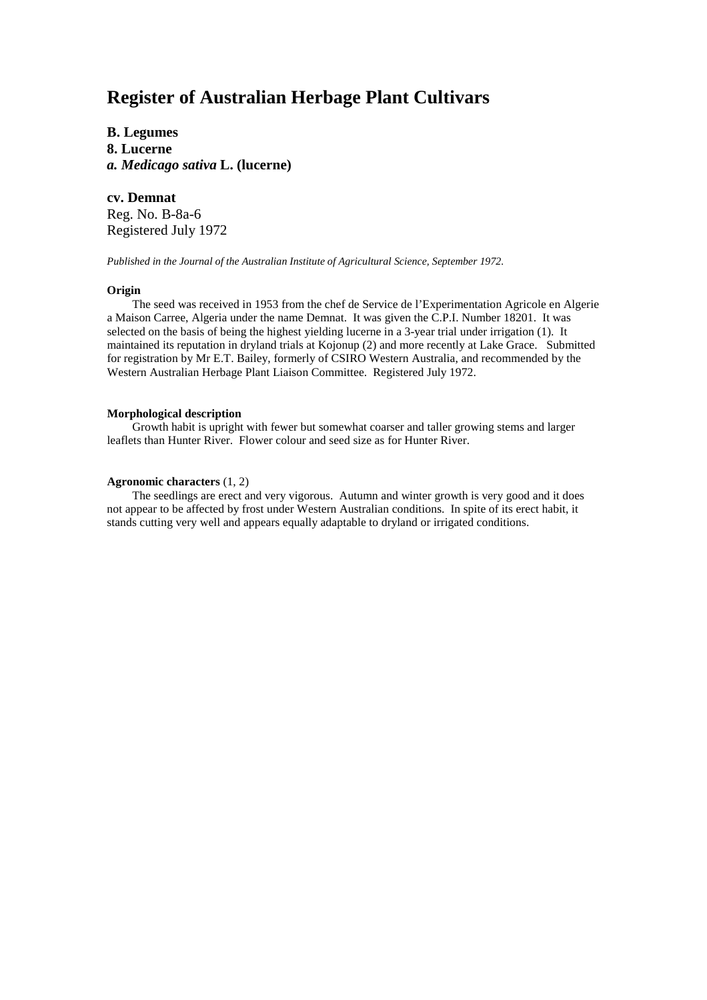# **Register of Australian Herbage Plant Cultivars**

**B. Legumes 8. Lucerne** *a. Medicago sativa* **L. (lucerne)**

# **cv. Demnat**

Reg. No. B-8a-6 Registered July 1972

*Published in the Journal of the Australian Institute of Agricultural Science, September 1972.*

### **Origin**

The seed was received in 1953 from the chef de Service de l'Experimentation Agricole en Algerie a Maison Carree, Algeria under the name Demnat. It was given the C.P.I. Number 18201. It was selected on the basis of being the highest yielding lucerne in a 3-year trial under irrigation (1). It maintained its reputation in dryland trials at Kojonup (2) and more recently at Lake Grace. Submitted for registration by Mr E.T. Bailey, formerly of CSIRO Western Australia, and recommended by the Western Australian Herbage Plant Liaison Committee. Registered July 1972.

## **Morphological description**

Growth habit is upright with fewer but somewhat coarser and taller growing stems and larger leaflets than Hunter River. Flower colour and seed size as for Hunter River.

### **Agronomic characters** (1, 2)

The seedlings are erect and very vigorous. Autumn and winter growth is very good and it does not appear to be affected by frost under Western Australian conditions. In spite of its erect habit, it stands cutting very well and appears equally adaptable to dryland or irrigated conditions.